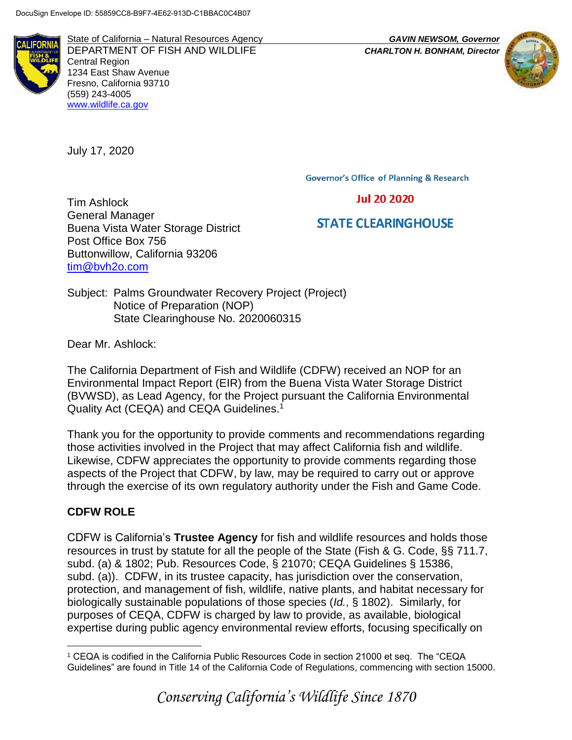State of California – Natural Resources Agency *GAVIN NEWSOM, Governor* DEPARTMENT OF FISH AND WILDLIFE *CHARLTON H. BONHAM, Director*  Central Region 1234 East Shaw Avenue Fresno, California 93710 (559) 243-4005 [www.wildlife.ca.gov](http://www.wildlife.ca.gov/)

July 17, 2020

**Governor's Office of Planning & Research** 

# **Jul 20 2020**

# **STATE CLEARINGHOUSE**

Tim Ashlock General Manager Buena Vista Water Storage District Post Office Box 756 Buttonwillow, California 93206 [tim@bvh2o.com](mailto:tim@bvh2o.com)

Subject: Palms Groundwater Recovery Project (Project) Notice of Preparation (NOP) State Clearinghouse No. 2020060315

Dear Mr. Ashlock:

The California Department of Fish and Wildlife (CDFW) received an NOP for an Environmental Impact Report (EIR) from the Buena Vista Water Storage District (BVWSD), as Lead Agency, for the Project pursuant the California Environmental Quality Act (CEQA) and CEQA Guidelines.<sup>1</sup>

Thank you for the opportunity to provide comments and recommendations regarding those activities involved in the Project that may affect California fish and wildlife. Likewise, CDFW appreciates the opportunity to provide comments regarding those aspects of the Project that CDFW, by law, may be required to carry out or approve through the exercise of its own regulatory authority under the Fish and Game Code.

## **CDFW ROLE**

CDFW is California's **Trustee Agency** for fish and wildlife resources and holds those resources in trust by statute for all the people of the State (Fish & G. Code, §§ 711.7, subd. (a) & 1802; Pub. Resources Code, § 21070; CEQA Guidelines § 15386, subd. (a)). CDFW, in its trustee capacity, has jurisdiction over the conservation, protection, and management of fish, wildlife, native plants, and habitat necessary for biologically sustainable populations of those species (*Id.*, § 1802). Similarly, for purposes of CEQA, CDFW is charged by law to provide, as available, biological expertise during public agency environmental review efforts, focusing specifically on

 $\overline{a}$ <sup>1</sup> CEQA is codified in the California Public Resources Code in section 21000 et seq. The "CEQA Guidelines" are found in Title 14 of the California Code of Regulations, commencing with section 15000.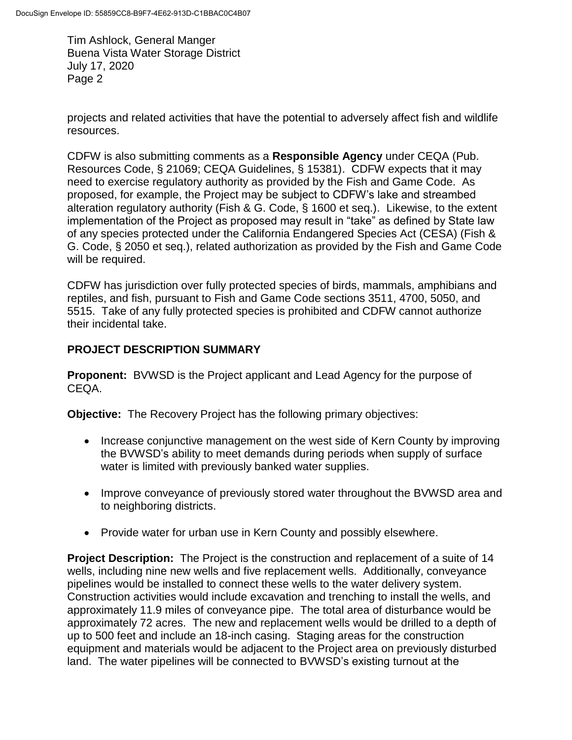projects and related activities that have the potential to adversely affect fish and wildlife resources.

CDFW is also submitting comments as a **Responsible Agency** under CEQA (Pub. Resources Code, § 21069; CEQA Guidelines, § 15381). CDFW expects that it may need to exercise regulatory authority as provided by the Fish and Game Code. As proposed, for example, the Project may be subject to CDFW's lake and streambed alteration regulatory authority (Fish & G. Code, § 1600 et seq.). Likewise, to the extent implementation of the Project as proposed may result in "take" as defined by State law of any species protected under the California Endangered Species Act (CESA) (Fish & G. Code, § 2050 et seq.), related authorization as provided by the Fish and Game Code will be required.

CDFW has jurisdiction over fully protected species of birds, mammals, amphibians and reptiles, and fish, pursuant to Fish and Game Code sections 3511, 4700, 5050, and 5515. Take of any fully protected species is prohibited and CDFW cannot authorize their incidental take.

# **PROJECT DESCRIPTION SUMMARY**

**Proponent:** BVWSD is the Project applicant and Lead Agency for the purpose of CEQA.

**Objective:** The Recovery Project has the following primary objectives:

- Increase conjunctive management on the west side of Kern County by improving the BVWSD's ability to meet demands during periods when supply of surface water is limited with previously banked water supplies.
- Improve conveyance of previously stored water throughout the BVWSD area and to neighboring districts.
- Provide water for urban use in Kern County and possibly elsewhere.

**Project Description:** The Project is the construction and replacement of a suite of 14 wells, including nine new wells and five replacement wells. Additionally, conveyance pipelines would be installed to connect these wells to the water delivery system. Construction activities would include excavation and trenching to install the wells, and approximately 11.9 miles of conveyance pipe. The total area of disturbance would be approximately 72 acres. The new and replacement wells would be drilled to a depth of up to 500 feet and include an 18-inch casing. Staging areas for the construction equipment and materials would be adjacent to the Project area on previously disturbed land. The water pipelines will be connected to BVWSD's existing turnout at the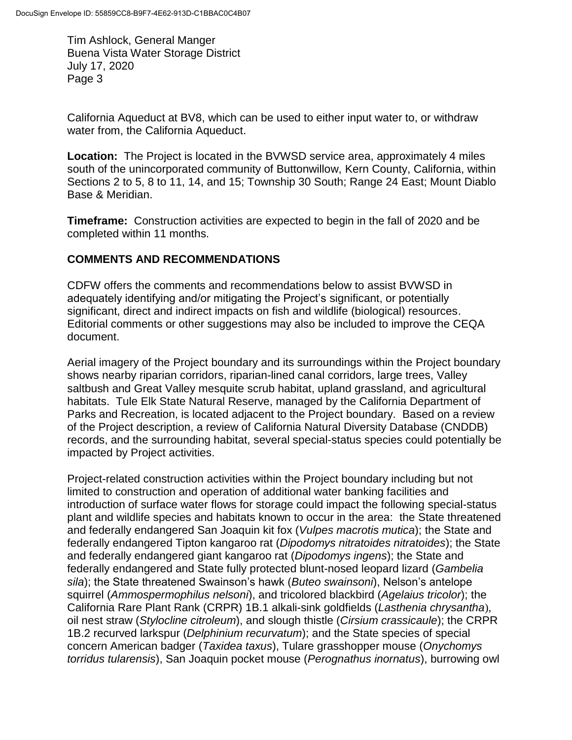California Aqueduct at BV8, which can be used to either input water to, or withdraw water from, the California Aqueduct.

**Location:** The Project is located in the BVWSD service area, approximately 4 miles south of the unincorporated community of Buttonwillow, Kern County, California, within Sections 2 to 5, 8 to 11, 14, and 15; Township 30 South; Range 24 East; Mount Diablo Base & Meridian.

**Timeframe:** Construction activities are expected to begin in the fall of 2020 and be completed within 11 months.

## **COMMENTS AND RECOMMENDATIONS**

CDFW offers the comments and recommendations below to assist BVWSD in adequately identifying and/or mitigating the Project's significant, or potentially significant, direct and indirect impacts on fish and wildlife (biological) resources. Editorial comments or other suggestions may also be included to improve the CEQA document.

Aerial imagery of the Project boundary and its surroundings within the Project boundary shows nearby riparian corridors, riparian-lined canal corridors, large trees, Valley saltbush and Great Valley mesquite scrub habitat, upland grassland, and agricultural habitats. Tule Elk State Natural Reserve, managed by the California Department of Parks and Recreation, is located adjacent to the Project boundary. Based on a review of the Project description, a review of California Natural Diversity Database (CNDDB) records, and the surrounding habitat, several special-status species could potentially be impacted by Project activities.

Project-related construction activities within the Project boundary including but not limited to construction and operation of additional water banking facilities and introduction of surface water flows for storage could impact the following special-status plant and wildlife species and habitats known to occur in the area: the State threatened and federally endangered San Joaquin kit fox (*Vulpes macrotis mutica*); the State and federally endangered Tipton kangaroo rat (*Dipodomys nitratoides nitratoides*); the State and federally endangered giant kangaroo rat (*Dipodomys ingens*); the State and federally endangered and State fully protected blunt-nosed leopard lizard (*Gambelia sila*); the State threatened Swainson's hawk (*Buteo swainsoni*), Nelson's antelope squirrel (*Ammospermophilus nelsoni*), and tricolored blackbird (*Agelaius tricolor*); the California Rare Plant Rank (CRPR) 1B.1 alkali-sink goldfields (*Lasthenia chrysantha*), oil nest straw (*Stylocline citroleum*), and slough thistle (*Cirsium crassicaule*); the CRPR 1B.2 recurved larkspur (*Delphinium recurvatum*); and the State species of special concern American badger (*Taxidea taxus*), Tulare grasshopper mouse (*Onychomys torridus tularensis*), San Joaquin pocket mouse (*Perognathus inornatus*), burrowing owl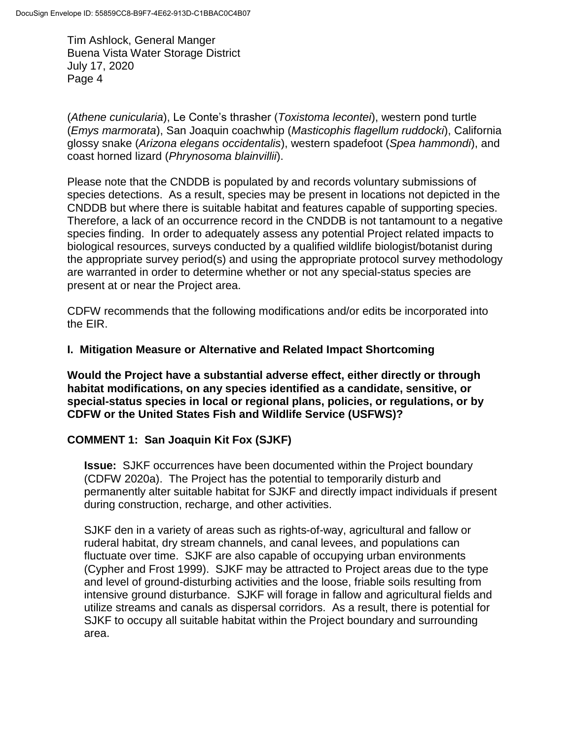(*Athene cunicularia*), Le Conte's thrasher (*Toxistoma lecontei*), western pond turtle (*Emys marmorata*), San Joaquin coachwhip (*Masticophis flagellum ruddocki*), California glossy snake (*Arizona elegans occidentalis*), western spadefoot (*Spea hammondi*), and coast horned lizard (*Phrynosoma blainvillii*).

Please note that the CNDDB is populated by and records voluntary submissions of species detections. As a result, species may be present in locations not depicted in the CNDDB but where there is suitable habitat and features capable of supporting species. Therefore, a lack of an occurrence record in the CNDDB is not tantamount to a negative species finding. In order to adequately assess any potential Project related impacts to biological resources, surveys conducted by a qualified wildlife biologist/botanist during the appropriate survey period(s) and using the appropriate protocol survey methodology are warranted in order to determine whether or not any special-status species are present at or near the Project area.

CDFW recommends that the following modifications and/or edits be incorporated into the EIR.

## **I. Mitigation Measure or Alternative and Related Impact Shortcoming**

**Would the Project have a substantial adverse effect, either directly or through habitat modifications, on any species identified as a candidate, sensitive, or special-status species in local or regional plans, policies, or regulations, or by CDFW or the United States Fish and Wildlife Service (USFWS)?** 

### **COMMENT 1: San Joaquin Kit Fox (SJKF)**

**Issue:** SJKF occurrences have been documented within the Project boundary (CDFW 2020a). The Project has the potential to temporarily disturb and permanently alter suitable habitat for SJKF and directly impact individuals if present during construction, recharge, and other activities.

SJKF den in a variety of areas such as rights-of-way, agricultural and fallow or ruderal habitat, dry stream channels, and canal levees, and populations can fluctuate over time. SJKF are also capable of occupying urban environments (Cypher and Frost 1999). SJKF may be attracted to Project areas due to the type and level of ground-disturbing activities and the loose, friable soils resulting from intensive ground disturbance. SJKF will forage in fallow and agricultural fields and utilize streams and canals as dispersal corridors. As a result, there is potential for SJKF to occupy all suitable habitat within the Project boundary and surrounding area.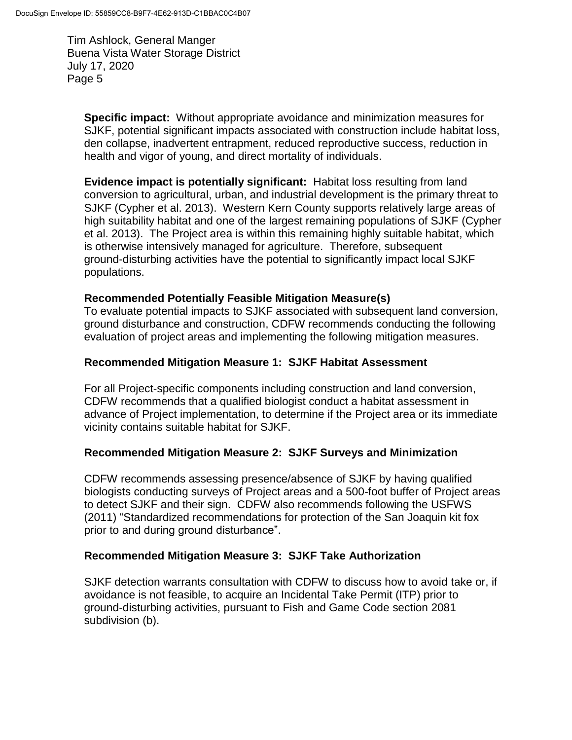**Specific impact:** Without appropriate avoidance and minimization measures for SJKF, potential significant impacts associated with construction include habitat loss, den collapse, inadvertent entrapment, reduced reproductive success, reduction in health and vigor of young, and direct mortality of individuals.

**Evidence impact is potentially significant:** Habitat loss resulting from land conversion to agricultural, urban, and industrial development is the primary threat to SJKF (Cypher et al. 2013). Western Kern County supports relatively large areas of high suitability habitat and one of the largest remaining populations of SJKF (Cypher et al. 2013). The Project area is within this remaining highly suitable habitat, which is otherwise intensively managed for agriculture. Therefore, subsequent ground-disturbing activities have the potential to significantly impact local SJKF populations.

### **Recommended Potentially Feasible Mitigation Measure(s)**

To evaluate potential impacts to SJKF associated with subsequent land conversion, ground disturbance and construction, CDFW recommends conducting the following evaluation of project areas and implementing the following mitigation measures.

## **Recommended Mitigation Measure 1: SJKF Habitat Assessment**

For all Project-specific components including construction and land conversion, CDFW recommends that a qualified biologist conduct a habitat assessment in advance of Project implementation, to determine if the Project area or its immediate vicinity contains suitable habitat for SJKF.

### **Recommended Mitigation Measure 2: SJKF Surveys and Minimization**

CDFW recommends assessing presence/absence of SJKF by having qualified biologists conducting surveys of Project areas and a 500-foot buffer of Project areas to detect SJKF and their sign. CDFW also recommends following the USFWS (2011) "Standardized recommendations for protection of the San Joaquin kit fox prior to and during ground disturbance".

### **Recommended Mitigation Measure 3: SJKF Take Authorization**

SJKF detection warrants consultation with CDFW to discuss how to avoid take or, if avoidance is not feasible, to acquire an Incidental Take Permit (ITP) prior to ground-disturbing activities, pursuant to Fish and Game Code section 2081 subdivision (b).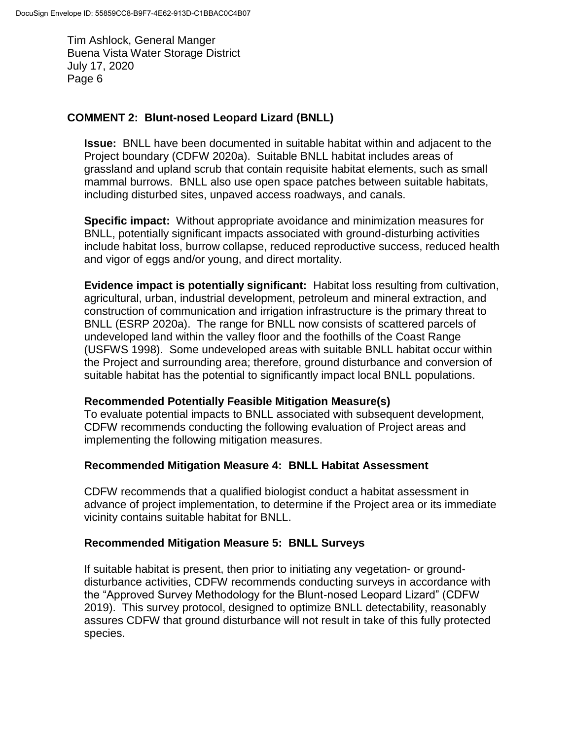## **COMMENT 2: Blunt-nosed Leopard Lizard (BNLL)**

**Issue:** BNLL have been documented in suitable habitat within and adjacent to the Project boundary (CDFW 2020a). Suitable BNLL habitat includes areas of grassland and upland scrub that contain requisite habitat elements, such as small mammal burrows. BNLL also use open space patches between suitable habitats, including disturbed sites, unpaved access roadways, and canals.

**Specific impact:** Without appropriate avoidance and minimization measures for BNLL, potentially significant impacts associated with ground-disturbing activities include habitat loss, burrow collapse, reduced reproductive success, reduced health and vigor of eggs and/or young, and direct mortality.

**Evidence impact is potentially significant:** Habitat loss resulting from cultivation, agricultural, urban, industrial development, petroleum and mineral extraction, and construction of communication and irrigation infrastructure is the primary threat to BNLL (ESRP 2020a). The range for BNLL now consists of scattered parcels of undeveloped land within the valley floor and the foothills of the Coast Range (USFWS 1998). Some undeveloped areas with suitable BNLL habitat occur within the Project and surrounding area; therefore, ground disturbance and conversion of suitable habitat has the potential to significantly impact local BNLL populations.

### **Recommended Potentially Feasible Mitigation Measure(s)**

To evaluate potential impacts to BNLL associated with subsequent development, CDFW recommends conducting the following evaluation of Project areas and implementing the following mitigation measures.

### **Recommended Mitigation Measure 4: BNLL Habitat Assessment**

CDFW recommends that a qualified biologist conduct a habitat assessment in advance of project implementation, to determine if the Project area or its immediate vicinity contains suitable habitat for BNLL.

### **Recommended Mitigation Measure 5: BNLL Surveys**

If suitable habitat is present, then prior to initiating any vegetation- or grounddisturbance activities, CDFW recommends conducting surveys in accordance with the "Approved Survey Methodology for the Blunt-nosed Leopard Lizard" (CDFW 2019). This survey protocol, designed to optimize BNLL detectability, reasonably assures CDFW that ground disturbance will not result in take of this fully protected species.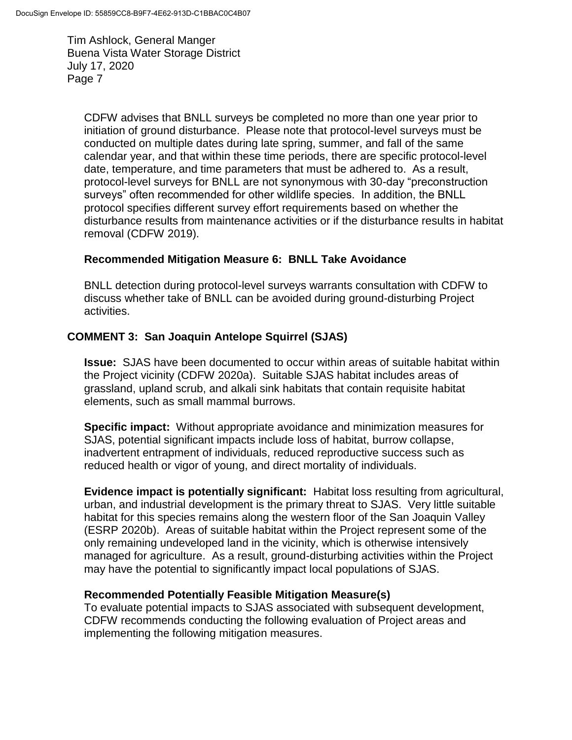CDFW advises that BNLL surveys be completed no more than one year prior to initiation of ground disturbance. Please note that protocol-level surveys must be conducted on multiple dates during late spring, summer, and fall of the same calendar year, and that within these time periods, there are specific protocol-level date, temperature, and time parameters that must be adhered to. As a result, protocol-level surveys for BNLL are not synonymous with 30-day "preconstruction surveys" often recommended for other wildlife species. In addition, the BNLL protocol specifies different survey effort requirements based on whether the disturbance results from maintenance activities or if the disturbance results in habitat removal (CDFW 2019).

### **Recommended Mitigation Measure 6: BNLL Take Avoidance**

BNLL detection during protocol-level surveys warrants consultation with CDFW to discuss whether take of BNLL can be avoided during ground-disturbing Project activities.

## **COMMENT 3: San Joaquin Antelope Squirrel (SJAS)**

**Issue:** SJAS have been documented to occur within areas of suitable habitat within the Project vicinity (CDFW 2020a). Suitable SJAS habitat includes areas of grassland, upland scrub, and alkali sink habitats that contain requisite habitat elements, such as small mammal burrows.

**Specific impact:** Without appropriate avoidance and minimization measures for SJAS, potential significant impacts include loss of habitat, burrow collapse, inadvertent entrapment of individuals, reduced reproductive success such as reduced health or vigor of young, and direct mortality of individuals.

**Evidence impact is potentially significant:** Habitat loss resulting from agricultural, urban, and industrial development is the primary threat to SJAS. Very little suitable habitat for this species remains along the western floor of the San Joaquin Valley (ESRP 2020b). Areas of suitable habitat within the Project represent some of the only remaining undeveloped land in the vicinity, which is otherwise intensively managed for agriculture. As a result, ground-disturbing activities within the Project may have the potential to significantly impact local populations of SJAS.

### **Recommended Potentially Feasible Mitigation Measure(s)**

To evaluate potential impacts to SJAS associated with subsequent development, CDFW recommends conducting the following evaluation of Project areas and implementing the following mitigation measures.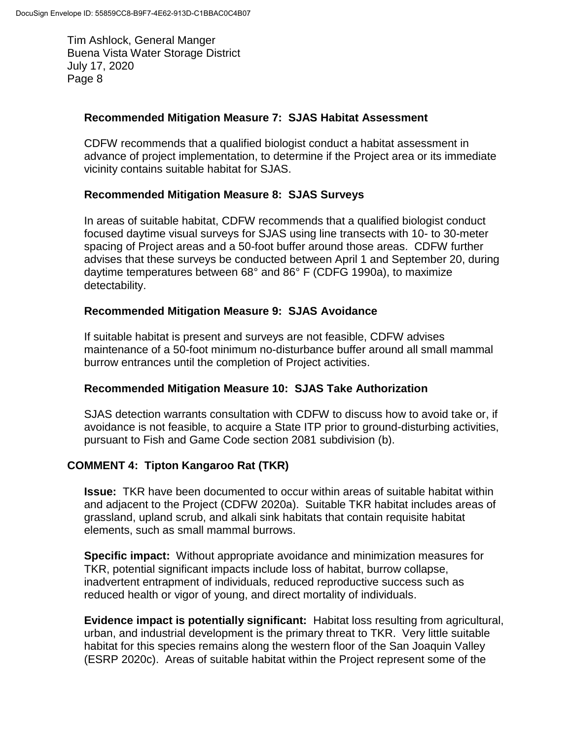### **Recommended Mitigation Measure 7: SJAS Habitat Assessment**

CDFW recommends that a qualified biologist conduct a habitat assessment in advance of project implementation, to determine if the Project area or its immediate vicinity contains suitable habitat for SJAS.

### **Recommended Mitigation Measure 8: SJAS Surveys**

In areas of suitable habitat, CDFW recommends that a qualified biologist conduct focused daytime visual surveys for SJAS using line transects with 10- to 30-meter spacing of Project areas and a 50-foot buffer around those areas. CDFW further advises that these surveys be conducted between April 1 and September 20, during daytime temperatures between 68° and 86° F (CDFG 1990a), to maximize detectability.

#### **Recommended Mitigation Measure 9: SJAS Avoidance**

If suitable habitat is present and surveys are not feasible, CDFW advises maintenance of a 50-foot minimum no-disturbance buffer around all small mammal burrow entrances until the completion of Project activities.

### **Recommended Mitigation Measure 10: SJAS Take Authorization**

SJAS detection warrants consultation with CDFW to discuss how to avoid take or, if avoidance is not feasible, to acquire a State ITP prior to ground-disturbing activities, pursuant to Fish and Game Code section 2081 subdivision (b).

### **COMMENT 4: Tipton Kangaroo Rat (TKR)**

**Issue:** TKR have been documented to occur within areas of suitable habitat within and adjacent to the Project (CDFW 2020a). Suitable TKR habitat includes areas of grassland, upland scrub, and alkali sink habitats that contain requisite habitat elements, such as small mammal burrows.

**Specific impact:** Without appropriate avoidance and minimization measures for TKR, potential significant impacts include loss of habitat, burrow collapse, inadvertent entrapment of individuals, reduced reproductive success such as reduced health or vigor of young, and direct mortality of individuals.

**Evidence impact is potentially significant:** Habitat loss resulting from agricultural, urban, and industrial development is the primary threat to TKR. Very little suitable habitat for this species remains along the western floor of the San Joaquin Valley (ESRP 2020c). Areas of suitable habitat within the Project represent some of the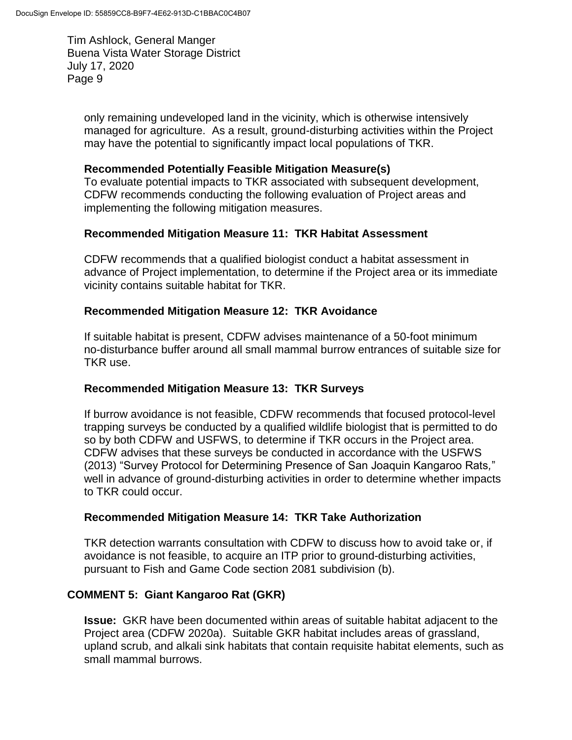only remaining undeveloped land in the vicinity, which is otherwise intensively managed for agriculture. As a result, ground-disturbing activities within the Project may have the potential to significantly impact local populations of TKR.

### **Recommended Potentially Feasible Mitigation Measure(s)**

To evaluate potential impacts to TKR associated with subsequent development, CDFW recommends conducting the following evaluation of Project areas and implementing the following mitigation measures.

### **Recommended Mitigation Measure 11: TKR Habitat Assessment**

CDFW recommends that a qualified biologist conduct a habitat assessment in advance of Project implementation, to determine if the Project area or its immediate vicinity contains suitable habitat for TKR.

#### **Recommended Mitigation Measure 12: TKR Avoidance**

If suitable habitat is present, CDFW advises maintenance of a 50-foot minimum no-disturbance buffer around all small mammal burrow entrances of suitable size for TKR use.

### **Recommended Mitigation Measure 13: TKR Surveys**

If burrow avoidance is not feasible, CDFW recommends that focused protocol-level trapping surveys be conducted by a qualified wildlife biologist that is permitted to do so by both CDFW and USFWS, to determine if TKR occurs in the Project area. CDFW advises that these surveys be conducted in accordance with the USFWS (2013) "Survey Protocol for Determining Presence of San Joaquin Kangaroo Rats*,*" well in advance of ground-disturbing activities in order to determine whether impacts to TKR could occur.

#### **Recommended Mitigation Measure 14: TKR Take Authorization**

TKR detection warrants consultation with CDFW to discuss how to avoid take or, if avoidance is not feasible, to acquire an ITP prior to ground-disturbing activities, pursuant to Fish and Game Code section 2081 subdivision (b).

### **COMMENT 5: Giant Kangaroo Rat (GKR)**

**Issue:** GKR have been documented within areas of suitable habitat adjacent to the Project area (CDFW 2020a). Suitable GKR habitat includes areas of grassland, upland scrub, and alkali sink habitats that contain requisite habitat elements, such as small mammal burrows.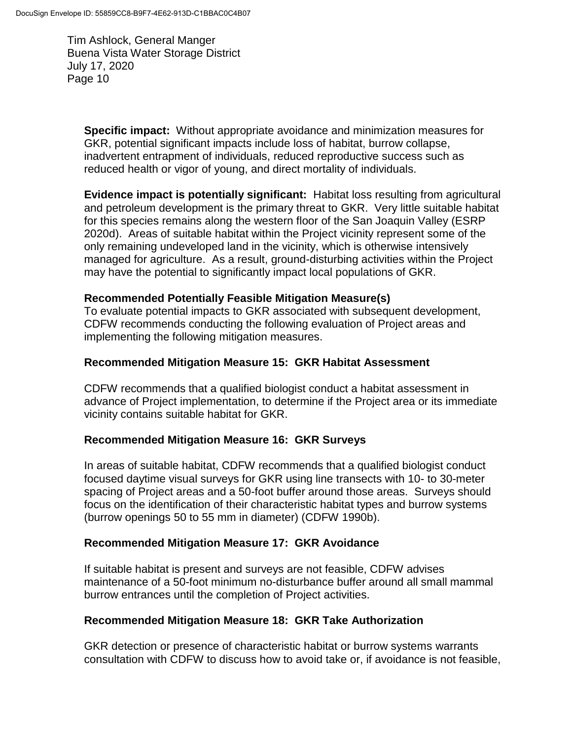**Specific impact:** Without appropriate avoidance and minimization measures for GKR, potential significant impacts include loss of habitat, burrow collapse, inadvertent entrapment of individuals, reduced reproductive success such as reduced health or vigor of young, and direct mortality of individuals.

**Evidence impact is potentially significant:** Habitat loss resulting from agricultural and petroleum development is the primary threat to GKR. Very little suitable habitat for this species remains along the western floor of the San Joaquin Valley (ESRP 2020d). Areas of suitable habitat within the Project vicinity represent some of the only remaining undeveloped land in the vicinity, which is otherwise intensively managed for agriculture. As a result, ground-disturbing activities within the Project may have the potential to significantly impact local populations of GKR.

#### **Recommended Potentially Feasible Mitigation Measure(s)**

To evaluate potential impacts to GKR associated with subsequent development, CDFW recommends conducting the following evaluation of Project areas and implementing the following mitigation measures.

#### **Recommended Mitigation Measure 15: GKR Habitat Assessment**

CDFW recommends that a qualified biologist conduct a habitat assessment in advance of Project implementation, to determine if the Project area or its immediate vicinity contains suitable habitat for GKR.

### **Recommended Mitigation Measure 16: GKR Surveys**

In areas of suitable habitat, CDFW recommends that a qualified biologist conduct focused daytime visual surveys for GKR using line transects with 10- to 30-meter spacing of Project areas and a 50-foot buffer around those areas. Surveys should focus on the identification of their characteristic habitat types and burrow systems (burrow openings 50 to 55 mm in diameter) (CDFW 1990b).

### **Recommended Mitigation Measure 17: GKR Avoidance**

If suitable habitat is present and surveys are not feasible, CDFW advises maintenance of a 50-foot minimum no-disturbance buffer around all small mammal burrow entrances until the completion of Project activities.

### **Recommended Mitigation Measure 18: GKR Take Authorization**

GKR detection or presence of characteristic habitat or burrow systems warrants consultation with CDFW to discuss how to avoid take or, if avoidance is not feasible,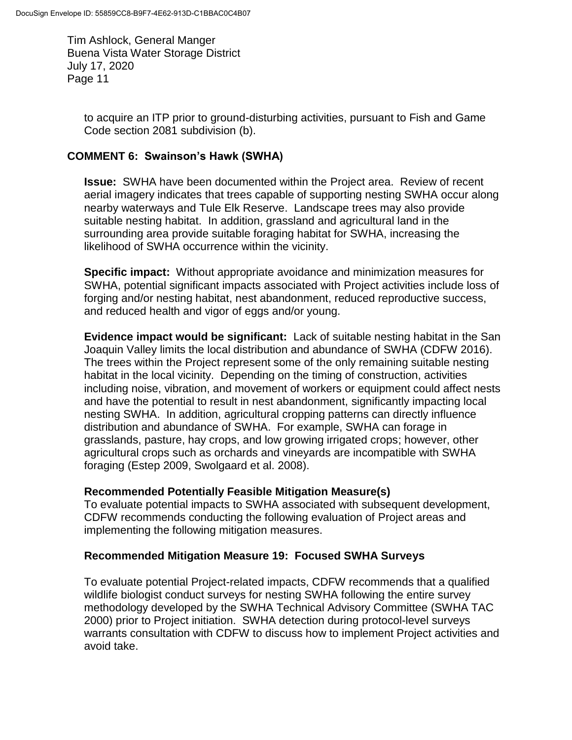to acquire an ITP prior to ground-disturbing activities, pursuant to Fish and Game Code section 2081 subdivision (b).

### **COMMENT 6: Swainson's Hawk (SWHA)**

**Issue:** SWHA have been documented within the Project area. Review of recent aerial imagery indicates that trees capable of supporting nesting SWHA occur along nearby waterways and Tule Elk Reserve. Landscape trees may also provide suitable nesting habitat. In addition, grassland and agricultural land in the surrounding area provide suitable foraging habitat for SWHA, increasing the likelihood of SWHA occurrence within the vicinity.

**Specific impact:** Without appropriate avoidance and minimization measures for SWHA, potential significant impacts associated with Project activities include loss of forging and/or nesting habitat, nest abandonment, reduced reproductive success, and reduced health and vigor of eggs and/or young.

**Evidence impact would be significant:** Lack of suitable nesting habitat in the San Joaquin Valley limits the local distribution and abundance of SWHA (CDFW 2016). The trees within the Project represent some of the only remaining suitable nesting habitat in the local vicinity. Depending on the timing of construction, activities including noise, vibration, and movement of workers or equipment could affect nests and have the potential to result in nest abandonment, significantly impacting local nesting SWHA. In addition, agricultural cropping patterns can directly influence distribution and abundance of SWHA. For example, SWHA can forage in grasslands, pasture, hay crops, and low growing irrigated crops; however, other agricultural crops such as orchards and vineyards are incompatible with SWHA foraging (Estep 2009, Swolgaard et al. 2008).

### **Recommended Potentially Feasible Mitigation Measure(s)**

To evaluate potential impacts to SWHA associated with subsequent development, CDFW recommends conducting the following evaluation of Project areas and implementing the following mitigation measures.

#### **Recommended Mitigation Measure 19: Focused SWHA Surveys**

To evaluate potential Project-related impacts, CDFW recommends that a qualified wildlife biologist conduct surveys for nesting SWHA following the entire survey methodology developed by the SWHA Technical Advisory Committee (SWHA TAC 2000) prior to Project initiation. SWHA detection during protocol-level surveys warrants consultation with CDFW to discuss how to implement Project activities and avoid take.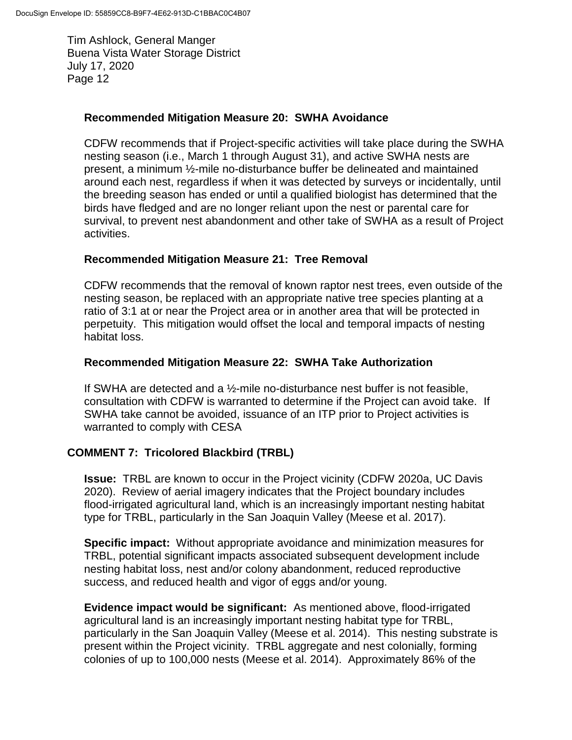### **Recommended Mitigation Measure 20: SWHA Avoidance**

CDFW recommends that if Project-specific activities will take place during the SWHA nesting season (i.e., March 1 through August 31), and active SWHA nests are present, a minimum ½-mile no-disturbance buffer be delineated and maintained around each nest, regardless if when it was detected by surveys or incidentally, until the breeding season has ended or until a qualified biologist has determined that the birds have fledged and are no longer reliant upon the nest or parental care for survival, to prevent nest abandonment and other take of SWHA as a result of Project activities.

### **Recommended Mitigation Measure 21: Tree Removal**

CDFW recommends that the removal of known raptor nest trees, even outside of the nesting season, be replaced with an appropriate native tree species planting at a ratio of 3:1 at or near the Project area or in another area that will be protected in perpetuity. This mitigation would offset the local and temporal impacts of nesting habitat loss.

### **Recommended Mitigation Measure 22: SWHA Take Authorization**

If SWHA are detected and a ½-mile no-disturbance nest buffer is not feasible, consultation with CDFW is warranted to determine if the Project can avoid take. If SWHA take cannot be avoided, issuance of an ITP prior to Project activities is warranted to comply with CESA

### **COMMENT 7: Tricolored Blackbird (TRBL)**

**Issue:** TRBL are known to occur in the Project vicinity (CDFW 2020a, UC Davis 2020). Review of aerial imagery indicates that the Project boundary includes flood-irrigated agricultural land, which is an increasingly important nesting habitat type for TRBL, particularly in the San Joaquin Valley (Meese et al. 2017).

**Specific impact:** Without appropriate avoidance and minimization measures for TRBL, potential significant impacts associated subsequent development include nesting habitat loss, nest and/or colony abandonment, reduced reproductive success, and reduced health and vigor of eggs and/or young.

**Evidence impact would be significant:** As mentioned above, flood-irrigated agricultural land is an increasingly important nesting habitat type for TRBL, particularly in the San Joaquin Valley (Meese et al. 2014). This nesting substrate is present within the Project vicinity. TRBL aggregate and nest colonially, forming colonies of up to 100,000 nests (Meese et al. 2014). Approximately 86% of the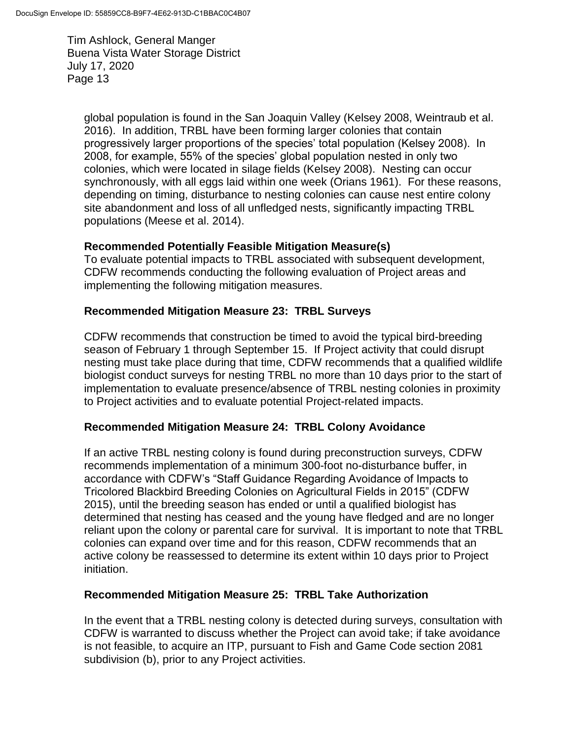global population is found in the San Joaquin Valley (Kelsey 2008, Weintraub et al. 2016). In addition, TRBL have been forming larger colonies that contain progressively larger proportions of the species' total population (Kelsey 2008). In 2008, for example, 55% of the species' global population nested in only two colonies, which were located in silage fields (Kelsey 2008). Nesting can occur synchronously, with all eggs laid within one week (Orians 1961). For these reasons, depending on timing, disturbance to nesting colonies can cause nest entire colony site abandonment and loss of all unfledged nests, significantly impacting TRBL populations (Meese et al. 2014).

### **Recommended Potentially Feasible Mitigation Measure(s)**

To evaluate potential impacts to TRBL associated with subsequent development, CDFW recommends conducting the following evaluation of Project areas and implementing the following mitigation measures.

## **Recommended Mitigation Measure 23: TRBL Surveys**

CDFW recommends that construction be timed to avoid the typical bird-breeding season of February 1 through September 15. If Project activity that could disrupt nesting must take place during that time, CDFW recommends that a qualified wildlife biologist conduct surveys for nesting TRBL no more than 10 days prior to the start of implementation to evaluate presence/absence of TRBL nesting colonies in proximity to Project activities and to evaluate potential Project-related impacts.

### **Recommended Mitigation Measure 24: TRBL Colony Avoidance**

If an active TRBL nesting colony is found during preconstruction surveys, CDFW recommends implementation of a minimum 300-foot no-disturbance buffer, in accordance with CDFW's "Staff Guidance Regarding Avoidance of Impacts to Tricolored Blackbird Breeding Colonies on Agricultural Fields in 2015" (CDFW 2015), until the breeding season has ended or until a qualified biologist has determined that nesting has ceased and the young have fledged and are no longer reliant upon the colony or parental care for survival. It is important to note that TRBL colonies can expand over time and for this reason, CDFW recommends that an active colony be reassessed to determine its extent within 10 days prior to Project initiation.

### **Recommended Mitigation Measure 25: TRBL Take Authorization**

In the event that a TRBL nesting colony is detected during surveys, consultation with CDFW is warranted to discuss whether the Project can avoid take; if take avoidance is not feasible, to acquire an ITP, pursuant to Fish and Game Code section 2081 subdivision (b), prior to any Project activities.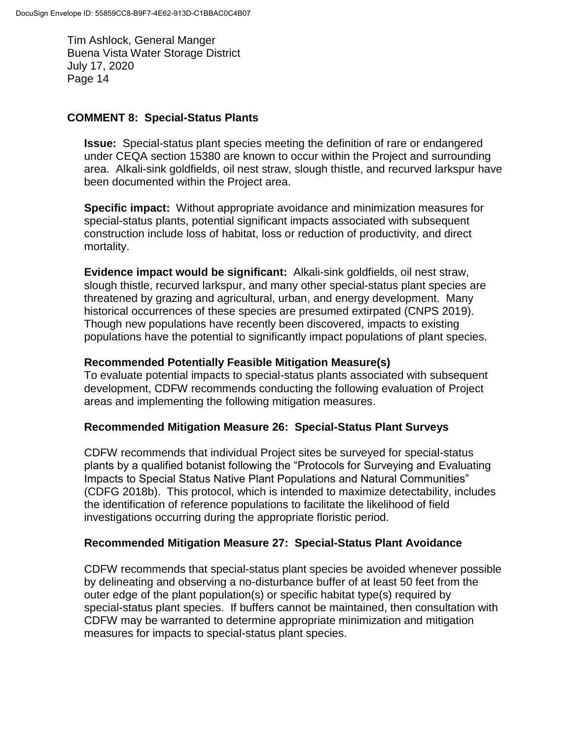#### **COMMENT 8: Special-Status Plants**

**Issue:** Special-status plant species meeting the definition of rare or endangered under CEQA section 15380 are known to occur within the Project and surrounding area. Alkali-sink goldfields, oil nest straw, slough thistle, and recurved larkspur have been documented within the Project area.

**Specific impact:** Without appropriate avoidance and minimization measures for special-status plants, potential significant impacts associated with subsequent construction include loss of habitat, loss or reduction of productivity, and direct mortality.

**Evidence impact would be significant:** Alkali-sink goldfields, oil nest straw, slough thistle, recurved larkspur, and many other special-status plant species are threatened by grazing and agricultural, urban, and energy development. Many historical occurrences of these species are presumed extirpated (CNPS 2019). Though new populations have recently been discovered, impacts to existing populations have the potential to significantly impact populations of plant species.

#### **Recommended Potentially Feasible Mitigation Measure(s)**

To evaluate potential impacts to special-status plants associated with subsequent development, CDFW recommends conducting the following evaluation of Project areas and implementing the following mitigation measures.

### **Recommended Mitigation Measure 26: Special-Status Plant Surveys**

CDFW recommends that individual Project sites be surveyed for special-status plants by a qualified botanist following the "Protocols for Surveying and Evaluating Impacts to Special Status Native Plant Populations and Natural Communities" (CDFG 2018b). This protocol, which is intended to maximize detectability, includes the identification of reference populations to facilitate the likelihood of field investigations occurring during the appropriate floristic period.

### **Recommended Mitigation Measure 27: Special-Status Plant Avoidance**

CDFW recommends that special-status plant species be avoided whenever possible by delineating and observing a no-disturbance buffer of at least 50 feet from the outer edge of the plant population(s) or specific habitat type(s) required by special-status plant species. If buffers cannot be maintained, then consultation with CDFW may be warranted to determine appropriate minimization and mitigation measures for impacts to special-status plant species.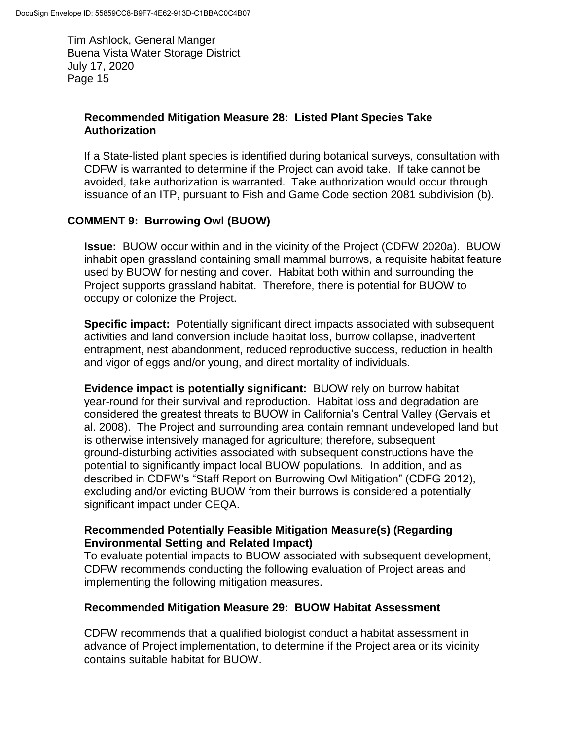## **Recommended Mitigation Measure 28: Listed Plant Species Take Authorization**

If a State-listed plant species is identified during botanical surveys, consultation with CDFW is warranted to determine if the Project can avoid take. If take cannot be avoided, take authorization is warranted. Take authorization would occur through issuance of an ITP, pursuant to Fish and Game Code section 2081 subdivision (b).

## **COMMENT 9: Burrowing Owl (BUOW)**

**Issue:** BUOW occur within and in the vicinity of the Project (CDFW 2020a). BUOW inhabit open grassland containing small mammal burrows, a requisite habitat feature used by BUOW for nesting and cover. Habitat both within and surrounding the Project supports grassland habitat. Therefore, there is potential for BUOW to occupy or colonize the Project.

**Specific impact:** Potentially significant direct impacts associated with subsequent activities and land conversion include habitat loss, burrow collapse, inadvertent entrapment, nest abandonment, reduced reproductive success, reduction in health and vigor of eggs and/or young, and direct mortality of individuals.

**Evidence impact is potentially significant:** BUOW rely on burrow habitat year-round for their survival and reproduction. Habitat loss and degradation are considered the greatest threats to BUOW in California's Central Valley (Gervais et al. 2008). The Project and surrounding area contain remnant undeveloped land but is otherwise intensively managed for agriculture; therefore, subsequent ground-disturbing activities associated with subsequent constructions have the potential to significantly impact local BUOW populations. In addition, and as described in CDFW's "Staff Report on Burrowing Owl Mitigation" (CDFG 2012), excluding and/or evicting BUOW from their burrows is considered a potentially significant impact under CEQA.

### **Recommended Potentially Feasible Mitigation Measure(s) (Regarding Environmental Setting and Related Impact)**

To evaluate potential impacts to BUOW associated with subsequent development, CDFW recommends conducting the following evaluation of Project areas and implementing the following mitigation measures.

### **Recommended Mitigation Measure 29: BUOW Habitat Assessment**

CDFW recommends that a qualified biologist conduct a habitat assessment in advance of Project implementation, to determine if the Project area or its vicinity contains suitable habitat for BUOW.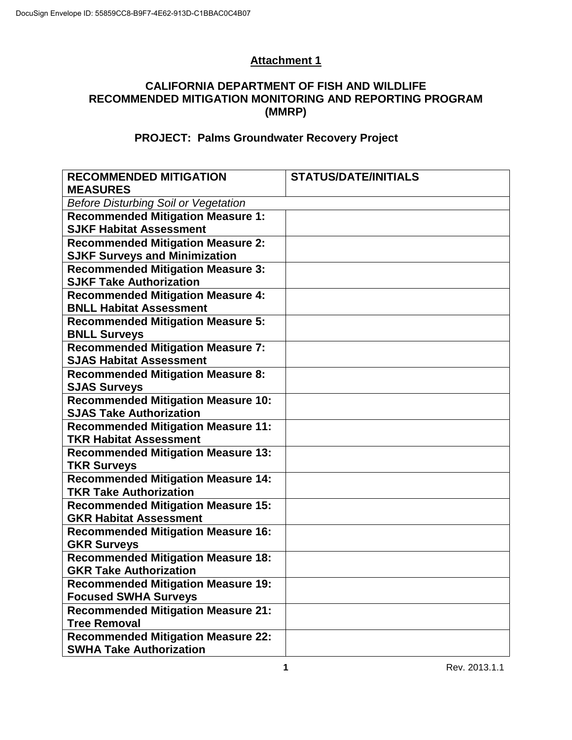# **Attachment 1**

## **CALIFORNIA DEPARTMENT OF FISH AND WILDLIFE RECOMMENDED MITIGATION MONITORING AND REPORTING PROGRAM (MMRP)**

## **PROJECT: Palms Groundwater Recovery Project**

| <b>RECOMMENDED MITIGATION</b>               | <b>STATUS/DATE/INITIALS</b> |  |  |  |
|---------------------------------------------|-----------------------------|--|--|--|
| <b>MEASURES</b>                             |                             |  |  |  |
| <b>Before Disturbing Soil or Vegetation</b> |                             |  |  |  |
| <b>Recommended Mitigation Measure 1:</b>    |                             |  |  |  |
| <b>SJKF Habitat Assessment</b>              |                             |  |  |  |
| <b>Recommended Mitigation Measure 2:</b>    |                             |  |  |  |
| <b>SJKF Surveys and Minimization</b>        |                             |  |  |  |
| <b>Recommended Mitigation Measure 3:</b>    |                             |  |  |  |
| <b>SJKF Take Authorization</b>              |                             |  |  |  |
| <b>Recommended Mitigation Measure 4:</b>    |                             |  |  |  |
| <b>BNLL Habitat Assessment</b>              |                             |  |  |  |
| <b>Recommended Mitigation Measure 5:</b>    |                             |  |  |  |
| <b>BNLL Surveys</b>                         |                             |  |  |  |
| <b>Recommended Mitigation Measure 7:</b>    |                             |  |  |  |
| <b>SJAS Habitat Assessment</b>              |                             |  |  |  |
| <b>Recommended Mitigation Measure 8:</b>    |                             |  |  |  |
| <b>SJAS Surveys</b>                         |                             |  |  |  |
| <b>Recommended Mitigation Measure 10:</b>   |                             |  |  |  |
| <b>SJAS Take Authorization</b>              |                             |  |  |  |
| <b>Recommended Mitigation Measure 11:</b>   |                             |  |  |  |
| <b>TKR Habitat Assessment</b>               |                             |  |  |  |
| <b>Recommended Mitigation Measure 13:</b>   |                             |  |  |  |
| <b>TKR Surveys</b>                          |                             |  |  |  |
| <b>Recommended Mitigation Measure 14:</b>   |                             |  |  |  |
| <b>TKR Take Authorization</b>               |                             |  |  |  |
| <b>Recommended Mitigation Measure 15:</b>   |                             |  |  |  |
| <b>GKR Habitat Assessment</b>               |                             |  |  |  |
| <b>Recommended Mitigation Measure 16:</b>   |                             |  |  |  |
| <b>GKR Surveys</b>                          |                             |  |  |  |
| <b>Recommended Mitigation Measure 18:</b>   |                             |  |  |  |
| <b>GKR Take Authorization</b>               |                             |  |  |  |
| <b>Recommended Mitigation Measure 19:</b>   |                             |  |  |  |
| <b>Focused SWHA Surveys</b>                 |                             |  |  |  |
| <b>Recommended Mitigation Measure 21:</b>   |                             |  |  |  |
| <b>Tree Removal</b>                         |                             |  |  |  |
| <b>Recommended Mitigation Measure 22:</b>   |                             |  |  |  |
| <b>SWHA Take Authorization</b>              |                             |  |  |  |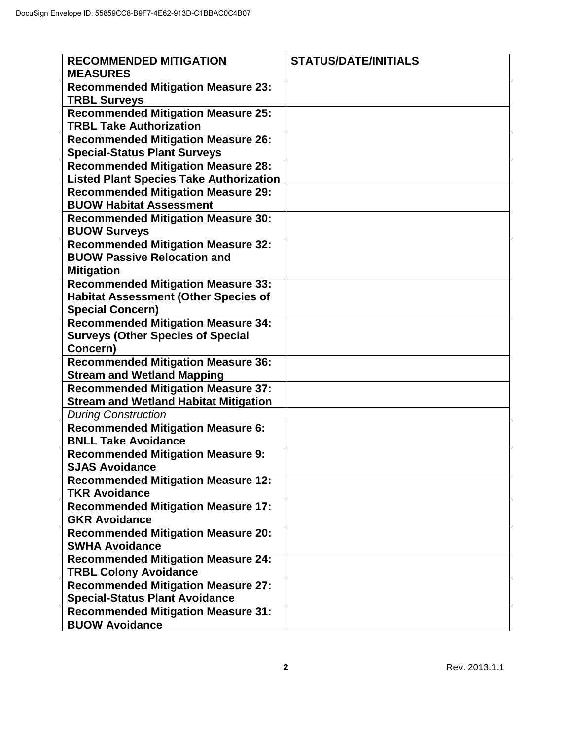| <b>RECOMMENDED MITIGATION</b><br><b>MEASURES</b>                                         | <b>STATUS/DATE/INITIALS</b> |
|------------------------------------------------------------------------------------------|-----------------------------|
| <b>Recommended Mitigation Measure 23:</b><br><b>TRBL Surveys</b>                         |                             |
| <b>Recommended Mitigation Measure 25:</b><br><b>TRBL Take Authorization</b>              |                             |
| <b>Recommended Mitigation Measure 26:</b><br><b>Special-Status Plant Surveys</b>         |                             |
| <b>Recommended Mitigation Measure 28:</b>                                                |                             |
| <b>Listed Plant Species Take Authorization</b>                                           |                             |
| <b>Recommended Mitigation Measure 29:</b>                                                |                             |
| <b>BUOW Habitat Assessment</b>                                                           |                             |
| <b>Recommended Mitigation Measure 30:</b>                                                |                             |
| <b>BUOW Surveys</b>                                                                      |                             |
| <b>Recommended Mitigation Measure 32:</b>                                                |                             |
| <b>BUOW Passive Relocation and</b>                                                       |                             |
| <b>Mitigation</b>                                                                        |                             |
| <b>Recommended Mitigation Measure 33:</b><br><b>Habitat Assessment (Other Species of</b> |                             |
| <b>Special Concern)</b>                                                                  |                             |
| <b>Recommended Mitigation Measure 34:</b>                                                |                             |
| <b>Surveys (Other Species of Special</b>                                                 |                             |
| Concern)                                                                                 |                             |
| <b>Recommended Mitigation Measure 36:</b>                                                |                             |
| <b>Stream and Wetland Mapping</b>                                                        |                             |
| <b>Recommended Mitigation Measure 37:</b>                                                |                             |
| <b>Stream and Wetland Habitat Mitigation</b>                                             |                             |
| <b>During Construction</b>                                                               |                             |
| <b>Recommended Mitigation Measure 6:</b><br><b>BNLL Take Avoidance</b>                   |                             |
| <b>Recommended Mitigation Measure 9:</b>                                                 |                             |
| <b>SJAS Avoidance</b>                                                                    |                             |
| <b>Recommended Mitigation Measure 12:</b>                                                |                             |
| <b>TKR Avoidance</b>                                                                     |                             |
| <b>Recommended Mitigation Measure 17:</b>                                                |                             |
| <b>GKR Avoidance</b>                                                                     |                             |
| <b>Recommended Mitigation Measure 20:</b><br><b>SWHA Avoidance</b>                       |                             |
| <b>Recommended Mitigation Measure 24:</b>                                                |                             |
| <b>TRBL Colony Avoidance</b>                                                             |                             |
| <b>Recommended Mitigation Measure 27:</b>                                                |                             |
| <b>Special-Status Plant Avoidance</b>                                                    |                             |
| <b>Recommended Mitigation Measure 31:</b>                                                |                             |
| <b>BUOW Avoidance</b>                                                                    |                             |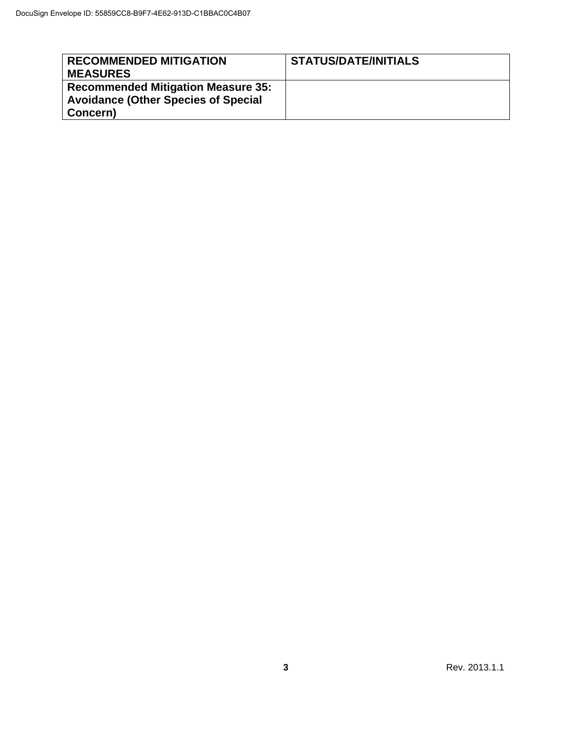| <b>RECOMMENDED MITIGATION</b><br><b>MEASURES</b>                                                    | <b>STATUS/DATE/INITIALS</b> |
|-----------------------------------------------------------------------------------------------------|-----------------------------|
| <b>Recommended Mitigation Measure 35:</b><br><b>Avoidance (Other Species of Special</b><br>Concern) |                             |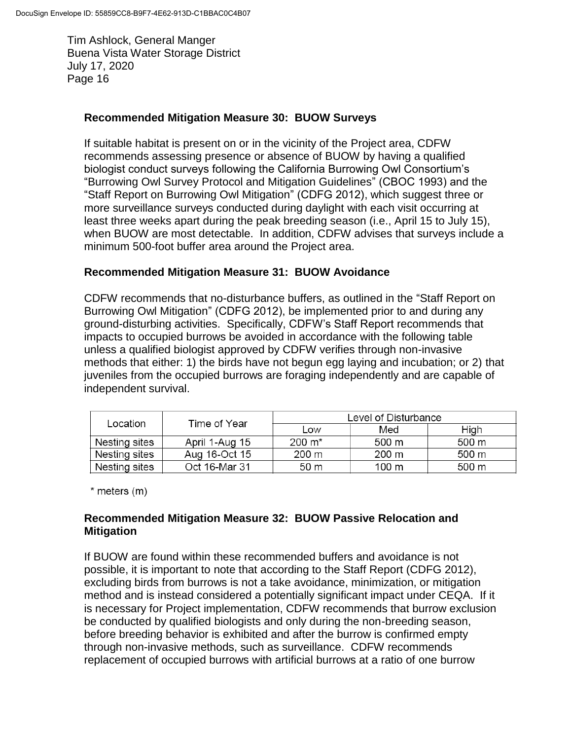### **Recommended Mitigation Measure 30: BUOW Surveys**

If suitable habitat is present on or in the vicinity of the Project area, CDFW recommends assessing presence or absence of BUOW by having a qualified biologist conduct surveys following the California Burrowing Owl Consortium's "Burrowing Owl Survey Protocol and Mitigation Guidelines" (CBOC 1993) and the "Staff Report on Burrowing Owl Mitigation" (CDFG 2012), which suggest three or more surveillance surveys conducted during daylight with each visit occurring at least three weeks apart during the peak breeding season (i.e., April 15 to July 15), when BUOW are most detectable. In addition, CDFW advises that surveys include a minimum 500-foot buffer area around the Project area.

### **Recommended Mitigation Measure 31: BUOW Avoidance**

CDFW recommends that no-disturbance buffers, as outlined in the "Staff Report on Burrowing Owl Mitigation" (CDFG 2012), be implemented prior to and during any ground-disturbing activities. Specifically, CDFW's Staff Report recommends that impacts to occupied burrows be avoided in accordance with the following table unless a qualified biologist approved by CDFW verifies through non-invasive methods that either: 1) the birds have not begun egg laying and incubation; or 2) that juveniles from the occupied burrows are foraging independently and are capable of independent survival.

| Time of Year<br>Location | Level of Disturbance |                     |       |       |
|--------------------------|----------------------|---------------------|-------|-------|
|                          | Low                  | Med                 | High  |       |
| Nesting sites            | April 1-Aug 15       | $200 \; \text{m}^*$ | 500 m | 500 m |
| Nesting sites            | Aug 16-Oct 15        | 200 m               | 200 m | 500 m |
| Nesting sites            | Oct 16-Mar 31        | 50 m                | 100 m | 500 m |

 $*$  meters  $(m)$ 

## **Recommended Mitigation Measure 32: BUOW Passive Relocation and Mitigation**

If BUOW are found within these recommended buffers and avoidance is not possible, it is important to note that according to the Staff Report (CDFG 2012), excluding birds from burrows is not a take avoidance, minimization, or mitigation method and is instead considered a potentially significant impact under CEQA. If it is necessary for Project implementation, CDFW recommends that burrow exclusion be conducted by qualified biologists and only during the non-breeding season, before breeding behavior is exhibited and after the burrow is confirmed empty through non-invasive methods, such as surveillance. CDFW recommends replacement of occupied burrows with artificial burrows at a ratio of one burrow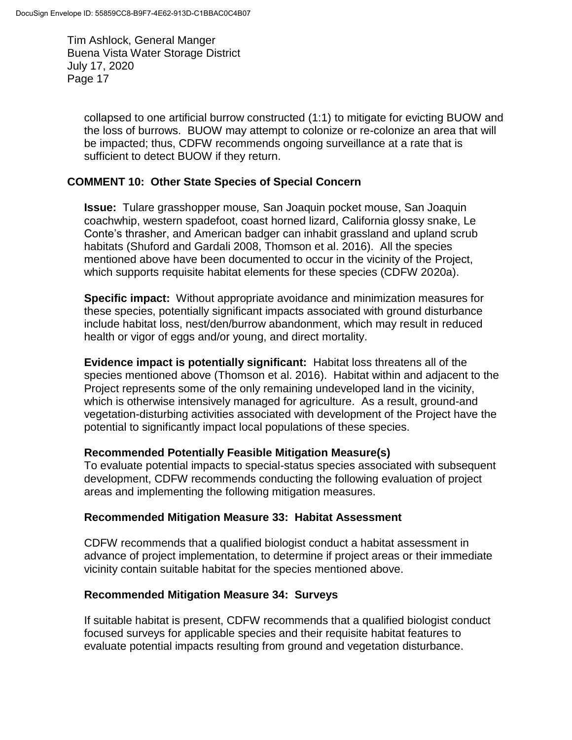collapsed to one artificial burrow constructed (1:1) to mitigate for evicting BUOW and the loss of burrows. BUOW may attempt to colonize or re-colonize an area that will be impacted; thus, CDFW recommends ongoing surveillance at a rate that is sufficient to detect BUOW if they return.

### **COMMENT 10: Other State Species of Special Concern**

**Issue:** Tulare grasshopper mouse*,* San Joaquin pocket mouse, San Joaquin coachwhip, western spadefoot, coast horned lizard, California glossy snake, Le Conte's thrasher, and American badger can inhabit grassland and upland scrub habitats (Shuford and Gardali 2008, Thomson et al. 2016). All the species mentioned above have been documented to occur in the vicinity of the Project, which supports requisite habitat elements for these species (CDFW 2020a).

**Specific impact:** Without appropriate avoidance and minimization measures for these species, potentially significant impacts associated with ground disturbance include habitat loss, nest/den/burrow abandonment, which may result in reduced health or vigor of eggs and/or young, and direct mortality.

**Evidence impact is potentially significant:** Habitat loss threatens all of the species mentioned above (Thomson et al. 2016). Habitat within and adjacent to the Project represents some of the only remaining undeveloped land in the vicinity, which is otherwise intensively managed for agriculture. As a result, ground-and vegetation-disturbing activities associated with development of the Project have the potential to significantly impact local populations of these species.

### **Recommended Potentially Feasible Mitigation Measure(s)**

To evaluate potential impacts to special-status species associated with subsequent development, CDFW recommends conducting the following evaluation of project areas and implementing the following mitigation measures.

#### **Recommended Mitigation Measure 33: Habitat Assessment**

CDFW recommends that a qualified biologist conduct a habitat assessment in advance of project implementation, to determine if project areas or their immediate vicinity contain suitable habitat for the species mentioned above.

#### **Recommended Mitigation Measure 34: Surveys**

If suitable habitat is present, CDFW recommends that a qualified biologist conduct focused surveys for applicable species and their requisite habitat features to evaluate potential impacts resulting from ground and vegetation disturbance.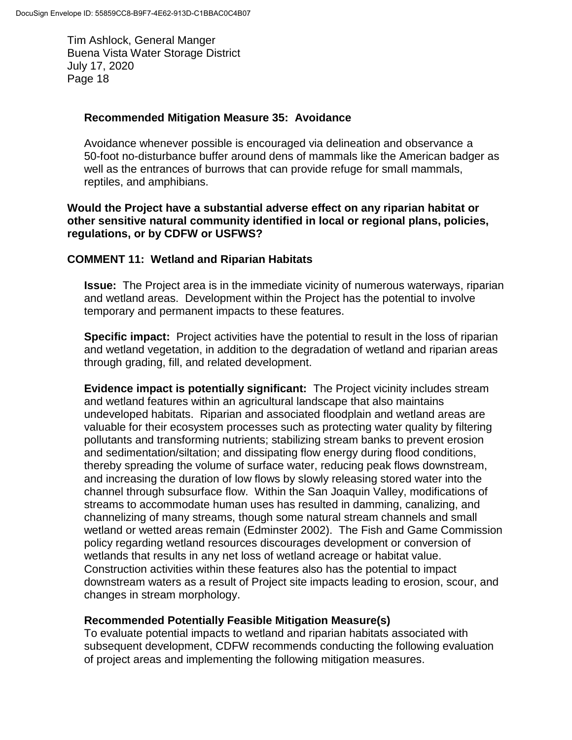#### **Recommended Mitigation Measure 35: Avoidance**

Avoidance whenever possible is encouraged via delineation and observance a 50-foot no-disturbance buffer around dens of mammals like the American badger as well as the entrances of burrows that can provide refuge for small mammals, reptiles, and amphibians.

#### **Would the Project have a substantial adverse effect on any riparian habitat or other sensitive natural community identified in local or regional plans, policies, regulations, or by CDFW or USFWS?**

### **COMMENT 11: Wetland and Riparian Habitats**

**Issue:** The Project area is in the immediate vicinity of numerous waterways, riparian and wetland areas. Development within the Project has the potential to involve temporary and permanent impacts to these features.

**Specific impact:** Project activities have the potential to result in the loss of riparian and wetland vegetation, in addition to the degradation of wetland and riparian areas through grading, fill, and related development.

**Evidence impact is potentially significant:** The Project vicinity includes stream and wetland features within an agricultural landscape that also maintains undeveloped habitats. Riparian and associated floodplain and wetland areas are valuable for their ecosystem processes such as protecting water quality by filtering pollutants and transforming nutrients; stabilizing stream banks to prevent erosion and sedimentation/siltation; and dissipating flow energy during flood conditions, thereby spreading the volume of surface water, reducing peak flows downstream, and increasing the duration of low flows by slowly releasing stored water into the channel through subsurface flow. Within the San Joaquin Valley, modifications of streams to accommodate human uses has resulted in damming, canalizing, and channelizing of many streams, though some natural stream channels and small wetland or wetted areas remain (Edminster 2002). The Fish and Game Commission policy regarding wetland resources discourages development or conversion of wetlands that results in any net loss of wetland acreage or habitat value. Construction activities within these features also has the potential to impact downstream waters as a result of Project site impacts leading to erosion, scour, and changes in stream morphology.

### **Recommended Potentially Feasible Mitigation Measure(s)**

To evaluate potential impacts to wetland and riparian habitats associated with subsequent development, CDFW recommends conducting the following evaluation of project areas and implementing the following mitigation measures.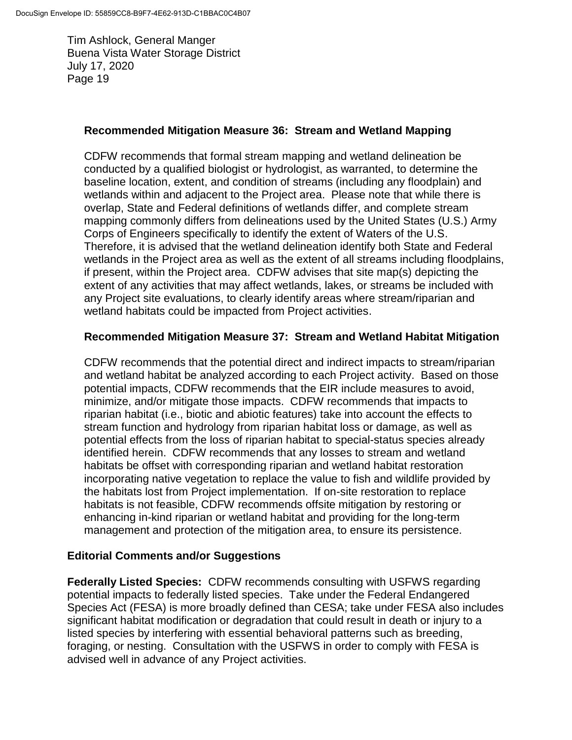### **Recommended Mitigation Measure 36: Stream and Wetland Mapping**

CDFW recommends that formal stream mapping and wetland delineation be conducted by a qualified biologist or hydrologist, as warranted, to determine the baseline location, extent, and condition of streams (including any floodplain) and wetlands within and adjacent to the Project area. Please note that while there is overlap, State and Federal definitions of wetlands differ, and complete stream mapping commonly differs from delineations used by the United States (U.S.) Army Corps of Engineers specifically to identify the extent of Waters of the U.S. Therefore, it is advised that the wetland delineation identify both State and Federal wetlands in the Project area as well as the extent of all streams including floodplains, if present, within the Project area. CDFW advises that site map(s) depicting the extent of any activities that may affect wetlands, lakes, or streams be included with any Project site evaluations, to clearly identify areas where stream/riparian and wetland habitats could be impacted from Project activities.

## **Recommended Mitigation Measure 37: Stream and Wetland Habitat Mitigation**

CDFW recommends that the potential direct and indirect impacts to stream/riparian and wetland habitat be analyzed according to each Project activity. Based on those potential impacts, CDFW recommends that the EIR include measures to avoid, minimize, and/or mitigate those impacts. CDFW recommends that impacts to riparian habitat (i.e., biotic and abiotic features) take into account the effects to stream function and hydrology from riparian habitat loss or damage, as well as potential effects from the loss of riparian habitat to special-status species already identified herein. CDFW recommends that any losses to stream and wetland habitats be offset with corresponding riparian and wetland habitat restoration incorporating native vegetation to replace the value to fish and wildlife provided by the habitats lost from Project implementation. If on-site restoration to replace habitats is not feasible, CDFW recommends offsite mitigation by restoring or enhancing in-kind riparian or wetland habitat and providing for the long-term management and protection of the mitigation area, to ensure its persistence.

### **Editorial Comments and/or Suggestions**

**Federally Listed Species:** CDFW recommends consulting with USFWS regarding potential impacts to federally listed species. Take under the Federal Endangered Species Act (FESA) is more broadly defined than CESA; take under FESA also includes significant habitat modification or degradation that could result in death or injury to a listed species by interfering with essential behavioral patterns such as breeding, foraging, or nesting. Consultation with the USFWS in order to comply with FESA is advised well in advance of any Project activities.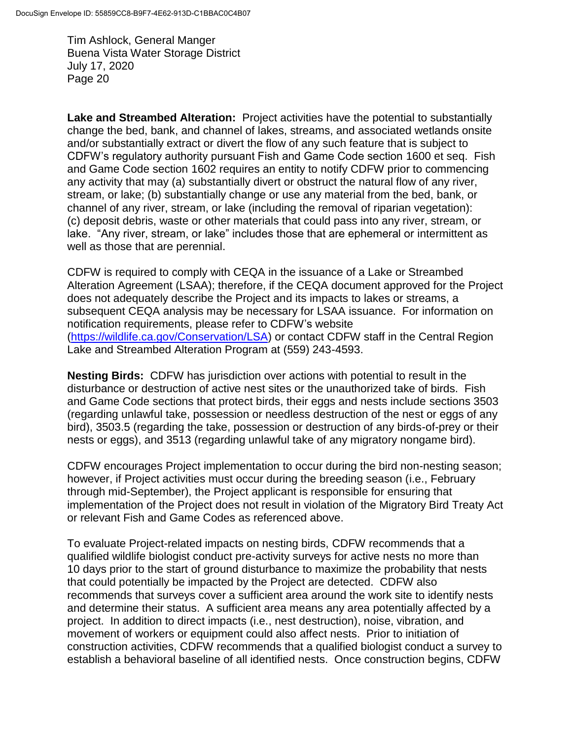**Lake and Streambed Alteration:** Project activities have the potential to substantially change the bed, bank, and channel of lakes, streams, and associated wetlands onsite and/or substantially extract or divert the flow of any such feature that is subject to CDFW's regulatory authority pursuant Fish and Game Code section 1600 et seq. Fish and Game Code section 1602 requires an entity to notify CDFW prior to commencing any activity that may (a) substantially divert or obstruct the natural flow of any river, stream, or lake; (b) substantially change or use any material from the bed, bank, or channel of any river, stream, or lake (including the removal of riparian vegetation): (c) deposit debris, waste or other materials that could pass into any river, stream, or lake. "Any river, stream, or lake" includes those that are ephemeral or intermittent as well as those that are perennial.

CDFW is required to comply with CEQA in the issuance of a Lake or Streambed Alteration Agreement (LSAA); therefore, if the CEQA document approved for the Project does not adequately describe the Project and its impacts to lakes or streams, a subsequent CEQA analysis may be necessary for LSAA issuance. For information on notification requirements, please refer to CDFW's website [\(https://wildlife.ca.gov/Conservation/LSA\)](https://wildlife.ca.gov/Conservation/LSA) or contact CDFW staff in the Central Region Lake and Streambed Alteration Program at (559) 243-4593.

**Nesting Birds:** CDFW has jurisdiction over actions with potential to result in the disturbance or destruction of active nest sites or the unauthorized take of birds. Fish and Game Code sections that protect birds, their eggs and nests include sections 3503 (regarding unlawful take, possession or needless destruction of the nest or eggs of any bird), 3503.5 (regarding the take, possession or destruction of any birds-of-prey or their nests or eggs), and 3513 (regarding unlawful take of any migratory nongame bird).

CDFW encourages Project implementation to occur during the bird non-nesting season; however, if Project activities must occur during the breeding season (i.e., February through mid-September), the Project applicant is responsible for ensuring that implementation of the Project does not result in violation of the Migratory Bird Treaty Act or relevant Fish and Game Codes as referenced above.

To evaluate Project-related impacts on nesting birds, CDFW recommends that a qualified wildlife biologist conduct pre-activity surveys for active nests no more than 10 days prior to the start of ground disturbance to maximize the probability that nests that could potentially be impacted by the Project are detected. CDFW also recommends that surveys cover a sufficient area around the work site to identify nests and determine their status. A sufficient area means any area potentially affected by a project. In addition to direct impacts (i.e., nest destruction), noise, vibration, and movement of workers or equipment could also affect nests. Prior to initiation of construction activities, CDFW recommends that a qualified biologist conduct a survey to establish a behavioral baseline of all identified nests. Once construction begins, CDFW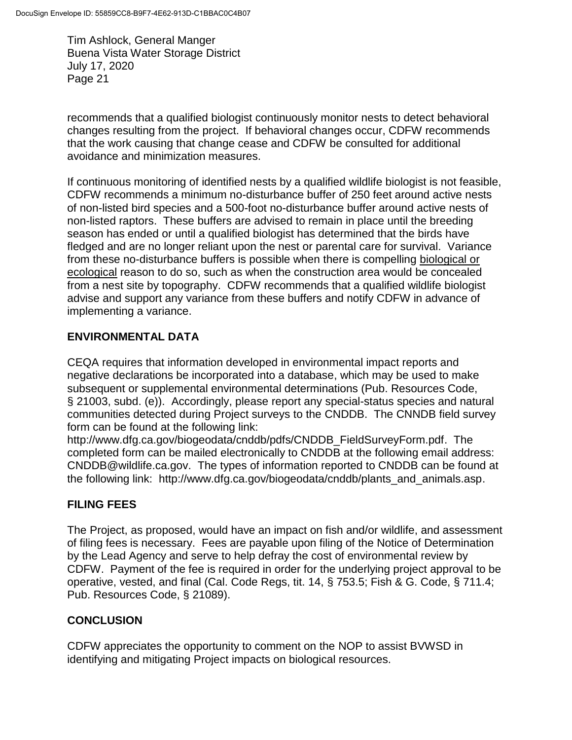recommends that a qualified biologist continuously monitor nests to detect behavioral changes resulting from the project. If behavioral changes occur, CDFW recommends that the work causing that change cease and CDFW be consulted for additional avoidance and minimization measures.

If continuous monitoring of identified nests by a qualified wildlife biologist is not feasible, CDFW recommends a minimum no-disturbance buffer of 250 feet around active nests of non-listed bird species and a 500-foot no-disturbance buffer around active nests of non-listed raptors. These buffers are advised to remain in place until the breeding season has ended or until a qualified biologist has determined that the birds have fledged and are no longer reliant upon the nest or parental care for survival. Variance from these no-disturbance buffers is possible when there is compelling biological or ecological reason to do so, such as when the construction area would be concealed from a nest site by topography. CDFW recommends that a qualified wildlife biologist advise and support any variance from these buffers and notify CDFW in advance of implementing a variance.

# **ENVIRONMENTAL DATA**

CEQA requires that information developed in environmental impact reports and negative declarations be incorporated into a database, which may be used to make subsequent or supplemental environmental determinations (Pub. Resources Code, § 21003, subd. (e)). Accordingly, please report any special-status species and natural communities detected during Project surveys to the CNDDB. The CNNDB field survey form can be found at the following link:

http://www.dfg.ca.gov/biogeodata/cnddb/pdfs/CNDDB\_FieldSurveyForm.pdf. The completed form can be mailed electronically to CNDDB at the following email address: CNDDB@wildlife.ca.gov. The types of information reported to CNDDB can be found at the following link: http://www.dfg.ca.gov/biogeodata/cnddb/plants\_and\_animals.asp.

## **FILING FEES**

The Project, as proposed, would have an impact on fish and/or wildlife, and assessment of filing fees is necessary. Fees are payable upon filing of the Notice of Determination by the Lead Agency and serve to help defray the cost of environmental review by CDFW. Payment of the fee is required in order for the underlying project approval to be operative, vested, and final (Cal. Code Regs, tit. 14, § 753.5; Fish & G. Code, § 711.4; Pub. Resources Code, § 21089).

## **CONCLUSION**

CDFW appreciates the opportunity to comment on the NOP to assist BVWSD in identifying and mitigating Project impacts on biological resources.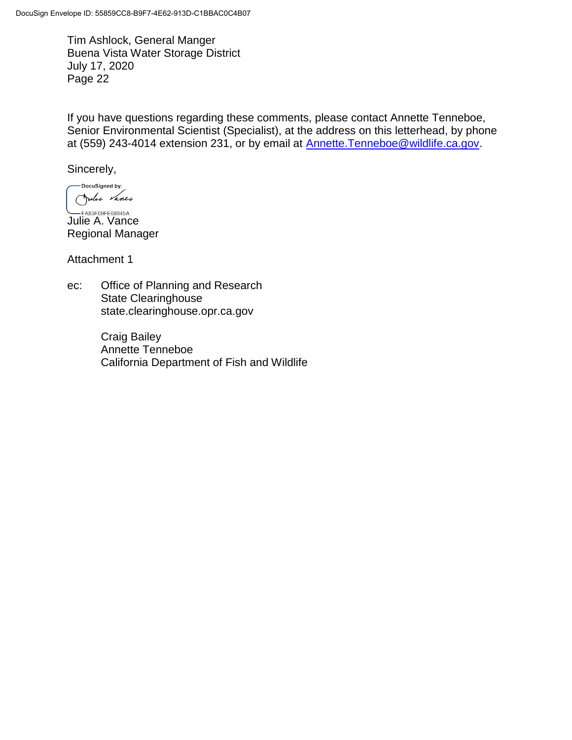If you have questions regarding these comments, please contact Annette Tenneboe, Senior Environmental Scientist (Specialist), at the address on this letterhead, by phone at (559) 243-4014 extension 231, or by email at [Annette.Tenneboe@wildlife.ca.gov.](mailto:Annette.Tenneboe@wildlife.ca.gov)

Sincerely,

-DocuSigned by: Jules Vance

 $-FA83F09FE08945A...$ Julie A. Vance Regional Manager

Attachment 1

ec: Office of Planning and Research State Clearinghouse state.clearinghouse.opr.ca.gov

> Craig Bailey Annette Tenneboe California Department of Fish and Wildlife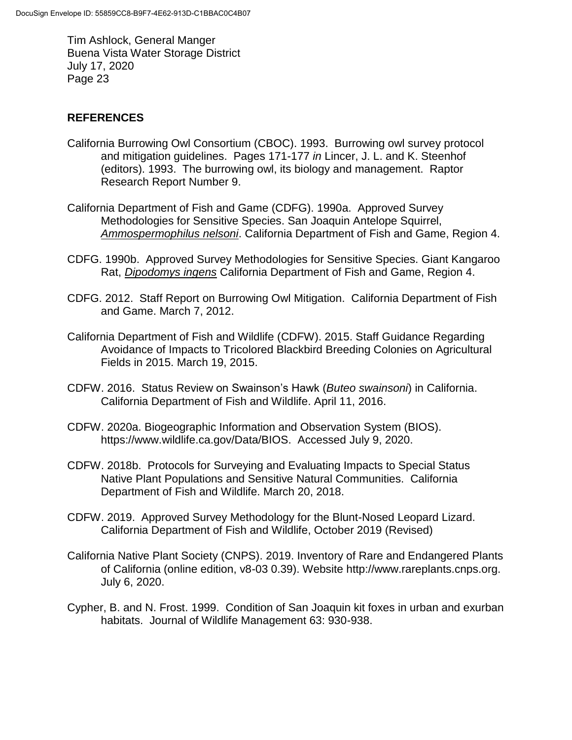## **REFERENCES**

- California Burrowing Owl Consortium (CBOC). 1993. Burrowing owl survey protocol and mitigation guidelines. Pages 171-177 *in* Lincer, J. L. and K. Steenhof (editors). 1993. The burrowing owl, its biology and management. Raptor Research Report Number 9.
- California Department of Fish and Game (CDFG). 1990a. Approved Survey Methodologies for Sensitive Species. San Joaquin Antelope Squirrel, *Ammospermophilus nelsoni*. California Department of Fish and Game, Region 4.
- CDFG. 1990b. Approved Survey Methodologies for Sensitive Species. Giant Kangaroo Rat, *Dipodomys ingens* California Department of Fish and Game, Region 4.
- CDFG. 2012. Staff Report on Burrowing Owl Mitigation. California Department of Fish and Game. March 7, 2012.
- California Department of Fish and Wildlife (CDFW). 2015. Staff Guidance Regarding Avoidance of Impacts to Tricolored Blackbird Breeding Colonies on Agricultural Fields in 2015. March 19, 2015.
- CDFW. 2016. Status Review on Swainson's Hawk (*Buteo swainsoni*) in California. California Department of Fish and Wildlife. April 11, 2016.
- CDFW. 2020a. Biogeographic Information and Observation System (BIOS). https://www.wildlife.ca.gov/Data/BIOS. Accessed July 9, 2020.
- CDFW. 2018b. Protocols for Surveying and Evaluating Impacts to Special Status Native Plant Populations and Sensitive Natural Communities. California Department of Fish and Wildlife. March 20, 2018.
- CDFW. 2019. Approved Survey Methodology for the Blunt-Nosed Leopard Lizard. California Department of Fish and Wildlife, October 2019 (Revised)
- California Native Plant Society (CNPS). 2019. Inventory of Rare and Endangered Plants of California (online edition, v8-03 0.39). Website http://www.rareplants.cnps.org. July 6, 2020.
- Cypher, B. and N. Frost. 1999. Condition of San Joaquin kit foxes in urban and exurban habitats. Journal of Wildlife Management 63: 930-938.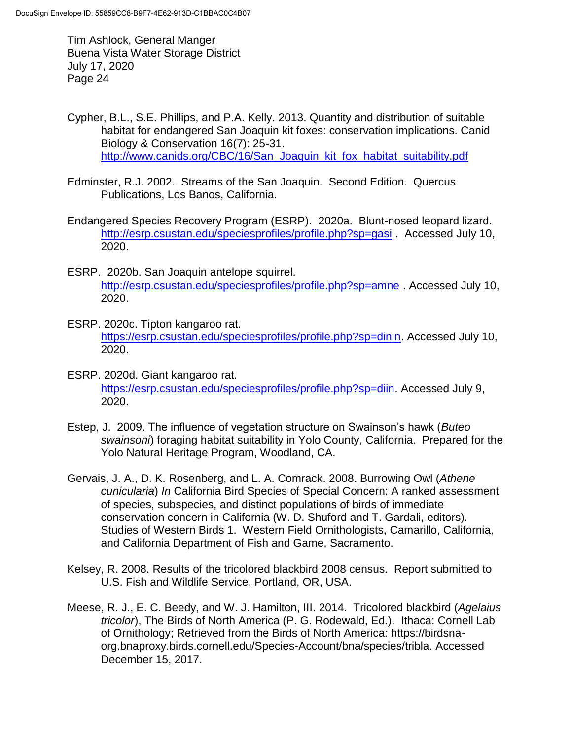- Cypher, B.L., S.E. Phillips, and P.A. Kelly. 2013. Quantity and distribution of suitable habitat for endangered San Joaquin kit foxes: conservation implications. Canid Biology & Conservation 16(7): 25-31. [http://www.canids.org/CBC/16/San\\_Joaquin\\_kit\\_fox\\_habitat\\_suitability.pdf](http://www.canids.org/CBC/16/San_Joaquin_kit_fox_habitat_suitability.pdf)
- Edminster, R.J. 2002. Streams of the San Joaquin. Second Edition. Quercus Publications, Los Banos, California.
- Endangered Species Recovery Program (ESRP). 2020a. Blunt-nosed leopard lizard. <http://esrp.csustan.edu/speciesprofiles/profile.php?sp=gasi> . Accessed July 10, 2020.
- ESRP. 2020b. San Joaquin antelope squirrel. <http://esrp.csustan.edu/speciesprofiles/profile.php?sp=amne> . Accessed July 10, 2020.
- ESRP. 2020c. Tipton kangaroo rat. [https://esrp.csustan.edu/speciesprofiles/profile.php?sp=dinin.](https://esrp.csustan.edu/speciesprofiles/profile.php?sp=dinin) Accessed July 10, 2020.
- ESRP. 2020d. Giant kangaroo rat. [https://esrp.csustan.edu/speciesprofiles/profile.php?sp=diin.](https://esrp.csustan.edu/speciesprofiles/profile.php?sp=diin) Accessed July 9, 2020.
- Estep, J. 2009. The influence of vegetation structure on Swainson's hawk (*Buteo swainsoni*) foraging habitat suitability in Yolo County, California. Prepared for the Yolo Natural Heritage Program, Woodland, CA.
- Gervais, J. A., D. K. Rosenberg, and L. A. Comrack. 2008. Burrowing Owl (*Athene cunicularia*) *In* California Bird Species of Special Concern: A ranked assessment of species, subspecies, and distinct populations of birds of immediate conservation concern in California (W. D. Shuford and T. Gardali, editors). Studies of Western Birds 1. Western Field Ornithologists, Camarillo, California, and California Department of Fish and Game, Sacramento.
- Kelsey, R. 2008. Results of the tricolored blackbird 2008 census. Report submitted to U.S. Fish and Wildlife Service, Portland, OR, USA.
- Meese, R. J., E. C. Beedy, and W. J. Hamilton, III. 2014. Tricolored blackbird (*Agelaius tricolor*), The Birds of North America (P. G. Rodewald, Ed.). Ithaca: Cornell Lab of Ornithology; Retrieved from the Birds of North America: https://birdsnaorg.bnaproxy.birds.cornell.edu/Species-Account/bna/species/tribla. Accessed December 15, 2017.